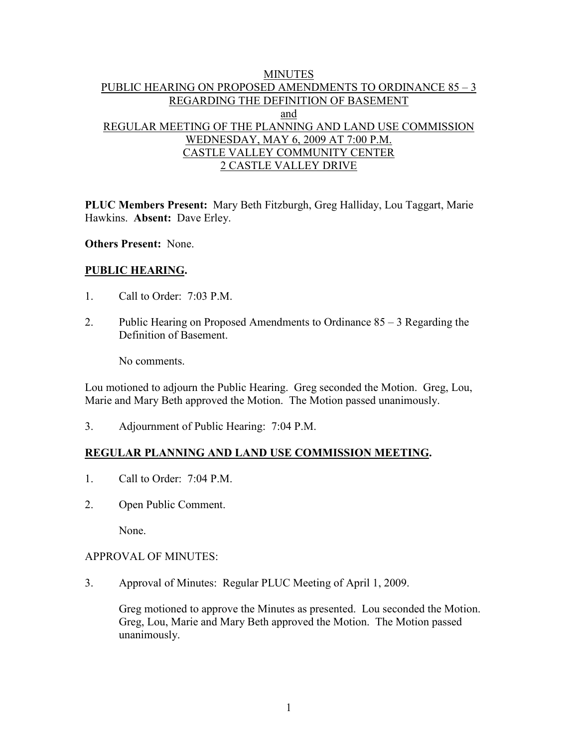# MINUTES PUBLIC HEARING ON PROPOSED AMENDMENTS TO ORDINANCE 85 – 3 REGARDING THE DEFINITION OF BASEMENT and REGULAR MEETING OF THE PLANNING AND LAND USE COMMISSION WEDNESDAY, MAY 6, 2009 AT 7:00 P.M. CASTLE VALLEY COMMUNITY CENTER 2 CASTLE VALLEY DRIVE

**PLUC Members Present:** Mary Beth Fitzburgh, Greg Halliday, Lou Taggart, Marie Hawkins. **Absent:** Dave Erley.

**Others Present:** None.

# **PUBLIC HEARING.**

- 1. Call to Order: 7:03 P.M.
- 2. Public Hearing on Proposed Amendments to Ordinance 85 3 Regarding the Definition of Basement.

No comments.

Lou motioned to adjourn the Public Hearing. Greg seconded the Motion. Greg, Lou, Marie and Mary Beth approved the Motion. The Motion passed unanimously.

3. Adjournment of Public Hearing: 7:04 P.M.

# **REGULAR PLANNING AND LAND USE COMMISSION MEETING.**

- 1. Call to Order: 7:04 P.M.
- 2. Open Public Comment.

None.

#### APPROVAL OF MINUTES:

3. Approval of Minutes: Regular PLUC Meeting of April 1, 2009.

Greg motioned to approve the Minutes as presented. Lou seconded the Motion. Greg, Lou, Marie and Mary Beth approved the Motion. The Motion passed unanimously.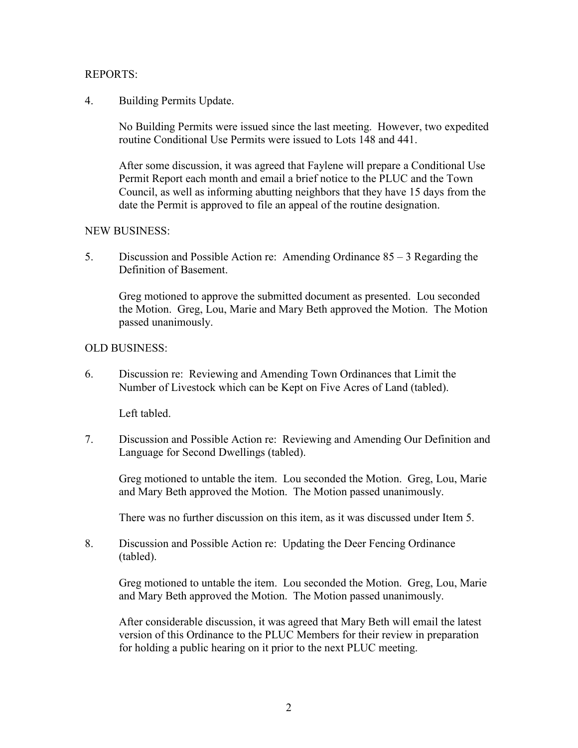### REPORTS:

# 4. Building Permits Update.

No Building Permits were issued since the last meeting. However, two expedited routine Conditional Use Permits were issued to Lots 148 and 441.

After some discussion, it was agreed that Faylene will prepare a Conditional Use Permit Report each month and email a brief notice to the PLUC and the Town Council, as well as informing abutting neighbors that they have 15 days from the date the Permit is approved to file an appeal of the routine designation.

# NEW BUSINESS:

5. Discussion and Possible Action re: Amending Ordinance 85 – 3 Regarding the Definition of Basement.

Greg motioned to approve the submitted document as presented. Lou seconded the Motion. Greg, Lou, Marie and Mary Beth approved the Motion. The Motion passed unanimously.

# OLD BUSINESS:

6. Discussion re: Reviewing and Amending Town Ordinances that Limit the Number of Livestock which can be Kept on Five Acres of Land (tabled).

Left tabled.

7. Discussion and Possible Action re: Reviewing and Amending Our Definition and Language for Second Dwellings (tabled).

Greg motioned to untable the item. Lou seconded the Motion. Greg, Lou, Marie and Mary Beth approved the Motion. The Motion passed unanimously.

There was no further discussion on this item, as it was discussed under Item 5.

8. Discussion and Possible Action re: Updating the Deer Fencing Ordinance (tabled).

Greg motioned to untable the item. Lou seconded the Motion. Greg, Lou, Marie and Mary Beth approved the Motion. The Motion passed unanimously.

After considerable discussion, it was agreed that Mary Beth will email the latest version of this Ordinance to the PLUC Members for their review in preparation for holding a public hearing on it prior to the next PLUC meeting.